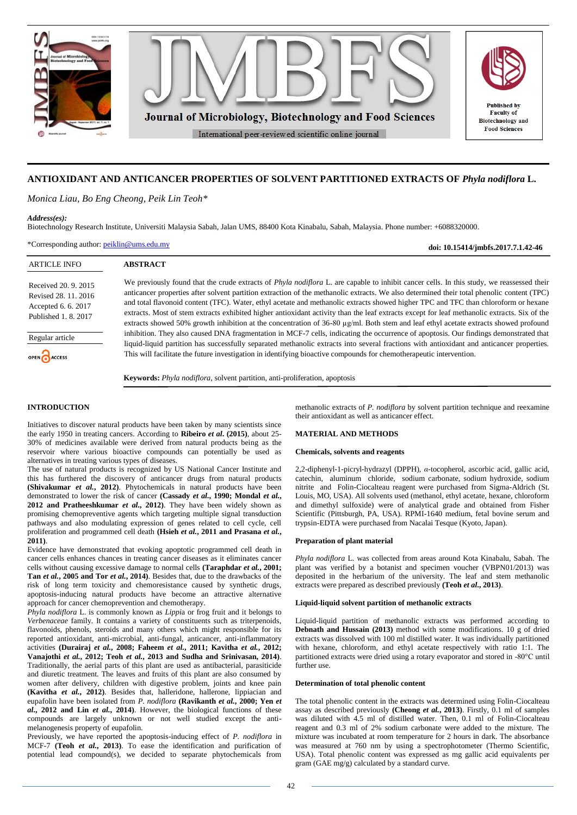

# **ANTIOXIDANT AND ANTICANCER PROPERTIES OF SOLVENT PARTITIONED EXTRACTS OF** *Phyla nodiflora* **L.**

*Monica Liau, Bo Eng Cheong, Peik Lin Teoh\**

## *Address(es):*

Biotechnology Research Institute, Universiti Malaysia Sabah, Jalan UMS, 88400 Kota Kinabalu, Sabah, Malaysia. Phone number: +6088320000.

\*Corresponding author: [peiklin@ums.edu.my](mailto:peiklin@ums.edu.my)

**doi: 10.15414/jmbfs.2017.7.1.42-46**

| <b>ARTICLE INFO</b>                                                                                                          | <b>ABSTRACT</b>                                                                                                                                                                                                                                                                                                                                                                                                                                                                                                                                                                                                                                                                                                                                                                                                                                                                                                                                                                                                                                                                                                                            |
|------------------------------------------------------------------------------------------------------------------------------|--------------------------------------------------------------------------------------------------------------------------------------------------------------------------------------------------------------------------------------------------------------------------------------------------------------------------------------------------------------------------------------------------------------------------------------------------------------------------------------------------------------------------------------------------------------------------------------------------------------------------------------------------------------------------------------------------------------------------------------------------------------------------------------------------------------------------------------------------------------------------------------------------------------------------------------------------------------------------------------------------------------------------------------------------------------------------------------------------------------------------------------------|
| Received 20, 9, 2015<br>Revised 28, 11, 2016<br>Accepted 6.6.2017<br>Published 1, 8, 2017<br>Regular article<br>OPEN CACCESS | We previously found that the crude extracts of <i>Phyla nodiflora</i> L. are capable to inhibit cancer cells. In this study, we reassessed their<br>anticancer properties after solvent partition extraction of the methanolic extracts. We also determined their total phenolic content (TPC)<br>and total flavonoid content (TFC). Water, ethyl acetate and methanolic extracts showed higher TPC and TFC than chloroform or hexane<br>extracts. Most of stem extracts exhibited higher antioxidant activity than the leaf extracts except for leaf methanolic extracts. Six of the<br>extracts showed 50% growth inhibition at the concentration of 36-80 µg/ml. Both stem and leaf ethyl acetate extracts showed profound<br>inhibition. They also caused DNA fragmentation in MCF-7 cells, indicating the occurrence of apoptosis. Our findings demonstrated that<br>liquid-liquid partition has successfully separated methanolic extracts into several fractions with antioxidant and anticancer properties.<br>This will facilitate the future investigation in identifying bioactive compounds for chemotherapeutic intervention. |
|                                                                                                                              | Keywords: Phyla nodiflora, solvent partition, anti-proliferation, apoptosis                                                                                                                                                                                                                                                                                                                                                                                                                                                                                                                                                                                                                                                                                                                                                                                                                                                                                                                                                                                                                                                                |

# **INTRODUCTION**

Initiatives to discover natural products have been taken by many scientists since the early 1950 in treating cancers. According to **Ribeiro** *et al***. (2015)**, about 25- 30% of medicines available were derived from natural products being as the reservoir where various bioactive compounds can potentially be used as alternatives in treating various types of diseases.

The use of natural products is recognized by US National Cancer Institute and this has furthered the discovery of anticancer drugs from natural products **(Shivakumar** *et al.***, 2012)**. Phytochemicals in natural products have been demonstrated to lower the risk of cancer **(Cassady** *et al.***, 1990; Mondal** *et al.***, 2012 and Pratheeshkumar** *et al.***, 2012)**. They have been widely shown as promising chemopreventive agents which targeting multiple signal transduction pathways and also modulating expression of genes related to cell cycle, cell proliferation and programmed cell death **(Hsieh** *et al.***, 2011 and Prasana** *et al.***, 2011)**.

Evidence have demonstrated that evoking apoptotic programmed cell death in cancer cells enhances chances in treating cancer diseases as it eliminates cancer cells without causing excessive damage to normal cells **(Taraphdar** *et al.***, 2001; Tan** *et al.***, 2005 and Tor** *et al.***, 2014)**. Besides that, due to the drawbacks of the risk of long term toxicity and chemoresistance caused by synthetic drugs, apoptosis-inducing natural products have become an attractive alternative approach for cancer chemoprevention and chemotherapy.

*Phyla nodiflora* L. is commonly known as *Lippi*a or frog fruit and it belongs to *Verbenaceae* family. It contains a variety of constituents such as triterpenoids, flavonoids, phenols, steroids and many others which might responsible for its reported antioxidant, anti-microbial, anti-fungal, anticancer, anti-inflammatory activities **(Durairaj** *et al.***, 2008; Faheem** *et al.***, 2011; Kavitha** *et al.***, 2012; Vanajothi** *et al.***, 2012; Teoh** *et al.***, 2013 and Sudha and Srinivasan, 2014)**. Traditionally, the aerial parts of this plant are used as antibacterial, parasiticide and diuretic treatment. The leaves and fruits of this plant are also consumed by women after delivery, children with digestive problem, joints and knee pain **(Kavitha** *et al.***, 2012)**. Besides that, halleridone, hallerone, lippiacian and eupafolin have been isolated from *P. nodiflora* **(Ravikanth** *et al.***, 2000; Yen** *et al.***, 2012 and Lin** *et al.***, 2014)**. However, the biological functions of these compounds are largely unknown or not well studied except the antimelanogenesis property of eupafolin.

Previously, we have reported the apoptosis-inducing effect of *P. nodiflora* in MCF-7 **(Teoh** *et al.***, 2013)**. To ease the identification and purification of potential lead compound(s), we decided to separate phytochemicals from

methanolic extracts of *P. nodiflora* by solvent partition technique and reexamine their antioxidant as well as anticancer effect.

#### **MATERIAL AND METHODS**

## **Chemicals, solvents and reagents**

2,2-diphenyl-1-picryl-hydrazyl (DPPH), *α*-tocopherol, ascorbic acid, gallic acid, catechin, aluminum chloride, sodium carbonate, sodium hydroxide, sodium nitrite and Folin-Ciocalteau reagent were purchased from Sigma-Aldrich (St. Louis, MO, USA). All solvents used (methanol, ethyl acetate, hexane, chloroform and dimethyl sulfoxide) were of analytical grade and obtained from Fisher Scientific (Pittsburgh, PA, USA). RPMI-1640 medium, fetal bovine serum and trypsin-EDTA were purchased from Nacalai Tesque (Kyoto, Japan).

# **Preparation of plant material**

*Phyla nodiflora* L. was collected from areas around Kota Kinabalu, Sabah. The plant was verified by a botanist and specimen voucher (VBPN01/2013) was deposited in the herbarium of the university. The leaf and stem methanolic extracts were prepared as described previously **(Teoh** *et al***., 2013)**.

#### **Liquid-liquid solvent partition of methanolic extracts**

Liquid-liquid partition of methanolic extracts was performed according to **Debnath and Hussain (2013)** method with some modifications. 10 g of dried extracts was dissolved with 100 ml distilled water. It was individually partitioned with hexane, chloroform, and ethyl acetate respectively with ratio 1:1. The partitioned extracts were dried using a rotary evaporator and stored in -80°C until further use.

## **Determination of total phenolic content**

The total phenolic content in the extracts was determined using Folin-Ciocalteau assay as described previously **(Cheong** *et al.***, 2013)**. Firstly, 0.1 ml of samples was diluted with 4.5 ml of distilled water. Then, 0.1 ml of Folin-Ciocalteau reagent and 0.3 ml of 2% sodium carbonate were added to the mixture. The mixture was incubated at room temperature for 2 hours in dark. The absorbance was measured at 760 nm by using a spectrophotometer (Thermo Scientific, USA). Total phenolic content was expressed as mg gallic acid equivalents per gram (GAE mg/g) calculated by a standard curve.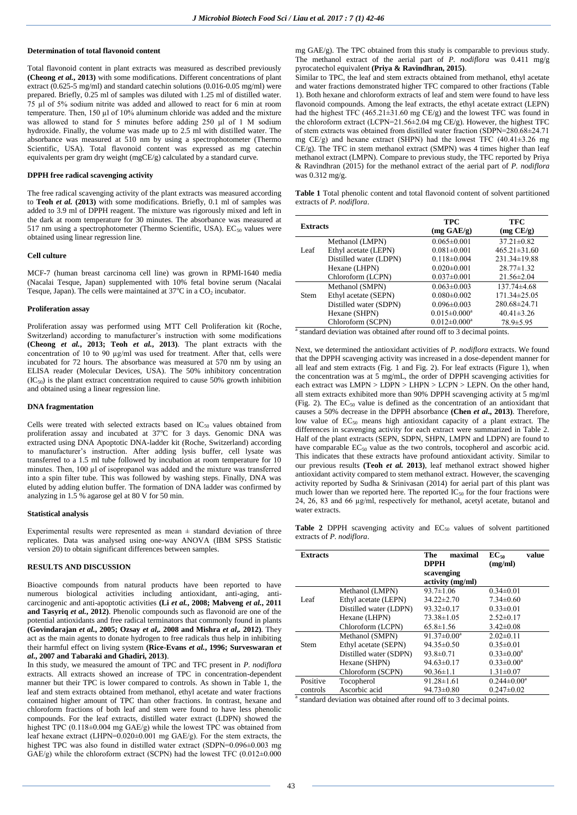## **Determination of total flavonoid content**

Total flavonoid content in plant extracts was measured as described previously **(Cheong** *et al.***, 2013)** with some modifications. Different concentrations of plant extract (0.625-5 mg/ml) and standard catechin solutions (0.016-0.05 mg/ml) were prepared. Briefly, 0.25 ml of samples was diluted with 1.25 ml of distilled water. 75 µl of 5% sodium nitrite was added and allowed to react for 6 min at room temperature. Then, 150 µl of 10% aluminum chloride was added and the mixture was allowed to stand for 5 minutes before adding 250 μl of 1 M sodium hydroxide. Finally, the volume was made up to 2.5 ml with distilled water. The absorbance was measured at 510 nm by using a spectrophotometer (Thermo Scientific, USA). Total flavonoid content was expressed as mg catechin equivalents per gram dry weight (mgCE/g) calculated by a standard curve.

## **DPPH free radical scavenging activity**

The free radical scavenging activity of the plant extracts was measured according to **Teoh** *et al.* **(2013)** with some modifications. Briefly, 0.1 ml of samples was added to 3.9 ml of DPPH reagent. The mixture was rigorously mixed and left in the dark at room temperature for 30 minutes. The absorbance was measured at 517 nm using a spectrophotometer (Thermo Scientific, USA).  $EC_{50}$  values were obtained using linear regression line.

#### **Cell culture**

MCF-7 (human breast carcinoma cell line) was grown in RPMI-1640 media (Nacalai Tesque, Japan) supplemented with 10% fetal bovine serum (Nacalai Tesque, Japan). The cells were maintained at  $37^{\circ}$ C in a  $CO_2$  incubator.

#### **Proliferation assay**

Proliferation assay was performed using MTT Cell Proliferation kit (Roche, Switzerland) according to manufacturer's instruction with some modifications **(Cheong** *et al.***, 2013; Teoh** *et al.***, 2013)**. The plant extracts with the concentration of 10 to 90 µg/ml was used for treatment. After that, cells were incubated for 72 hours. The absorbance was measured at 570 nm by using an ELISA reader (Molecular Devices, USA). The 50% inhibitory concentration  $(IC_{50})$  is the plant extract concentration required to cause 50% growth inhibition and obtained using a linear regression line.

## **DNA fragmentation**

Cells were treated with selected extracts based on  $IC_{50}$  values obtained from proliferation assay and incubated at 37°C for 3 days. Genomic DNA was extracted using DNA Apoptotic DNA-ladder kit (Roche, Switzerland) according to manufacturer's instruction. After adding lysis buffer, cell lysate was transferred to a 1.5 ml tube followed by incubation at room temperature for 10 minutes. Then, 100 µl of isopropanol was added and the mixture was transferred into a spin filter tube. This was followed by washing steps. Finally, DNA was eluted by adding elution buffer. The formation of DNA ladder was confirmed by analyzing in 1.5 % agarose gel at 80 V for 50 min.

## **Statistical analysis**

Experimental results were represented as mean  $\pm$  standard deviation of three replicates. Data was analysed using one-way ANOVA (IBM SPSS Statistic version 20) to obtain significant differences between samples.

# **RESULTS AND DISCUSSION**

Bioactive compounds from natural products have been reported to have numerous biological activities including antioxidant, anti-aging, anticarcinogenic and anti-apoptotic activities **(Li** *et al.***, 2008; Mabveng** *et al.***, 2011 and Tasyriq** *et al.***, 2012)**. Phenolic compounds such as flavonoid are one of the potential antioxidants and free radical terminators that commonly found in plants **(Govindarajan** *et al.***, 2005; Ozsay** *et al***,***.* **2008 and Mishra** *et al***,***.* **2012)**. They act as the main agents to donate hydrogen to free radicals thus help in inhibiting their harmful effect on living system **(Rice-Evans** *et al.***, 1996; Surveswaran** *et al.***, 2007 and Tabaraki and Ghadiri, 2013)**.

In this study, we measured the amount of TPC and TFC present in *P. nodiflora* extracts. All extracts showed an increase of TPC in concentration-dependent manner but their TPC is lower compared to controls. As shown in Table 1, the leaf and stem extracts obtained from methanol, ethyl acetate and water fractions contained higher amount of TPC than other fractions. In contrast, hexane and chloroform fractions of both leaf and stem were found to have less phenolic compounds. For the leaf extracts, distilled water extract (LDPN) showed the highest TPC (0.118±0.004 mg GAE/g) while the lowest TPC was obtained from leaf hexane extract (LHPN=0.020±0.001 mg GAE/g). For the stem extracts, the highest TPC was also found in distilled water extract (SDPN=0.096±0.003 mg GAE/g) while the chloroform extract (SCPN) had the lowest TFC  $(0.012 \pm 0.000$ 

mg GAE/g). The TPC obtained from this study is comparable to previous study. The methanol extract of the aerial part of *P. nodiflora* was 0.411 mg/g pyrocatechol equivalent **(Priya & Ravindhran, 2015)**.

Similar to TPC, the leaf and stem extracts obtained from methanol, ethyl acetate and water fractions demonstrated higher TFC compared to other fractions (Table 1). Both hexane and chloroform extracts of leaf and stem were found to have less flavonoid compounds. Among the leaf extracts, the ethyl acetate extract (LEPN) had the highest TFC (465.21±31.60 mg CE/g) and the lowest TFC was found in the chloroform extract (LCPN=21.56±2.04 mg CE/g). However, the highest TFC of stem extracts was obtained from distilled water fraction (SDPN=280.68±24.71 mg CE/g) and hexane extract (SHPN) had the lowest TFC (40.41±3.26 mg CE/g). The TFC in stem methanol extract (SMPN) was 4 times higher than leaf methanol extract (LMPN). Compare to previous study, the TFC reported by Priya & Ravindhran (2015) for the methanol extract of the aerial part of *P. nodiflora* was 0.312 mg/g.

**Table 1** Total phenolic content and total flavonoid content of solvent partitioned extracts of *P. nodiflora*.

| <b>Extracts</b> |                        | <b>TPC</b><br>$(mg \text{ GAE/g})$ | TFC<br>(mg CE/g)   |
|-----------------|------------------------|------------------------------------|--------------------|
|                 | Methanol (LMPN)        | $0.065 \pm 0.001$                  | $37.21 \pm 0.82$   |
| Leaf            | Ethyl acetate (LEPN)   | $0.081 \pm 0.001$                  | $465.21 \pm 31.60$ |
|                 | Distilled water (LDPN) | $0.118 \pm 0.004$                  | 231.34±19.88       |
|                 | Hexane (LHPN)          | $0.020 \pm 0.001$                  | $28.77 \pm 1.32$   |
|                 | Chloroform (LCPN)      | $0.037 \pm 0.001$                  | $21.56 \pm 2.04$   |
|                 | Methanol (SMPN)        | $0.063 \pm 0.003$                  | $137.74\pm4.68$    |
| Stem            | Ethyl acetate (SEPN)   | $0.080 \pm 0.002$                  | 171.34±25.05       |
|                 | Distilled water (SDPN) | $0.096 \pm 0.003$                  | 280.68±24.71       |
|                 | Hexane (SHPN)          | $0.015 \pm 0.000^a$                | $40.41 \pm 3.26$   |
|                 | Chloroform (SCPN)      | $0.012 \pm 0.000$ <sup>a</sup>     | 78.9±5.95          |

<sup>a</sup> standard deviation was obtained after round off to 3 decimal points.

Next, we determined the antioxidant activities of *P. nodiflora* extracts. We found that the DPPH scavenging activity was increased in a dose-dependent manner for all leaf and stem extracts (Fig. 1 and Fig. 2). For leaf extracts (Figure 1), when the concentration was at 5 mg/mL, the order of DPPH scavenging activities for each extract was  $LMPN > LDPN > LHPN > LCPN > LEPN$ . On the other hand, all stem extracts exhibited more than 90% DPPH scavenging activity at 5 mg/ml (Fig. 2). The EC<sub>50</sub> value is defined as the concentration of an antioxidant that causes a 50% decrease in the DPPH absorbance **(Chen** *et al***., 2013)**. Therefore, low value of  $EC_{50}$  means high antioxidant capacity of a plant extract. The differences in scavenging activity for each extract were summarized in Table 2. Half of the plant extracts (SEPN, SDPN, SHPN, LMPN and LDPN) are found to have comparable EC<sub>50</sub> value as the two controls, tocopherol and ascorbic acid. This indicates that these extracts have profound antioxidant activity. Similar to our previous results **(Teoh** *et al.* **2013)**, leaf methanol extract showed higher antioxidant activity compared to stem methanol extract. However, the scavenging activity reported by Sudha & Srinivasan (2014) for aerial part of this plant was much lower than we reported here. The reported  $IC_{50}$  for the four fractions were 24, 26, 83 and 66 µg/ml, respectively for methanol, acetyl acetate, butanol and water extracts.

Table 2 DPPH scavenging activity and EC<sub>50</sub> values of solvent partitioned extracts of *P. nodiflora*.

| <b>Extracts</b> |                        | The<br>maximal<br><b>DPPH</b>  | $EC_{50}$<br>value<br>(mg/ml) |
|-----------------|------------------------|--------------------------------|-------------------------------|
|                 |                        | scavenging<br>activity (mg/ml) |                               |
|                 | Methanol (LMPN)        | $93.7 \pm 1.06$                | $0.34 \pm 0.01$               |
| Leaf            | Ethyl acetate (LEPN)   | $34.22 \pm 2.70$               | $7.34 \pm 0.60$               |
|                 | Distilled water (LDPN) | $93.32 \pm 0.17$               | $0.33 \pm 0.01$               |
|                 | Hexane (LHPN)          | $73.38\pm1.05$                 | $2.52\pm0.17$                 |
|                 | Chloroform (LCPN)      | $65.8 \pm 1.56$                | $3.42 \pm 0.08$               |
|                 | Methanol (SMPN)        | $91.37 \pm 0.00^a$             | $2.02\pm0.11$                 |
| <b>Stem</b>     | Ethyl acetate (SEPN)   | $94.35 \pm 0.50$               | $0.35 \pm 0.01$               |
|                 | Distilled water (SDPN) | $93.8 \pm 0.71$                | $0.33 \pm 0.00^a$             |
|                 | Hexane (SHPN)          | $94.63 \pm 0.17$               | $0.33 \pm 0.00^a$             |
|                 | Chloroform (SCPN)      | $90.36 \pm 1.1$                | $1.31 \pm 0.07$               |
| Positive        | Tocopherol             | $91.28 \pm 1.61$               | $0.244 \pm 0.00^a$            |
| controls        | Ascorbic acid          | $94.73 \pm 0.80$               | $0.247 \pm 0.02$              |

<sup>a</sup> standard deviation was obtained after round off to 3 decimal points.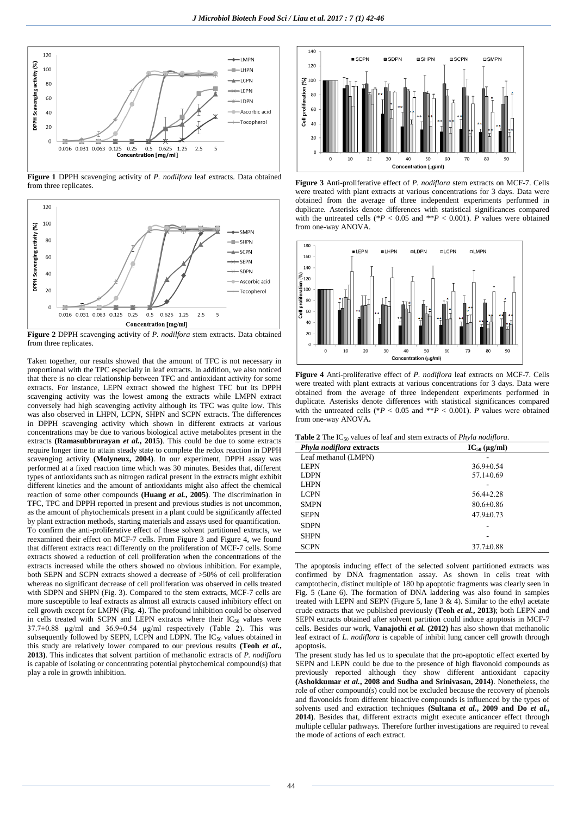

**Figure 1** DPPH scavenging activity of *P. nodilfora* leaf extracts. Data obtained from three replicates.



**Figure 2** DPPH scavenging activity of *P. nodilfora* stem extracts. Data obtained from three replicates.

Taken together, our results showed that the amount of TFC is not necessary in proportional with the TPC especially in leaf extracts. In addition, we also noticed that there is no clear relationship between TFC and antioxidant activity for some extracts. For instance, LEPN extract showed the highest TFC but its DPPH scavenging activity was the lowest among the extracts while LMPN extract conversely had high scavenging activity although its TFC was quite low. This was also observed in LHPN, LCPN, SHPN and SCPN extracts. The differences in DPPH scavenging activity which shown in different extracts at various concentrations may be due to various biological active metabolites present in the extracts **(Ramasubbrurayan** *et al.***, 2015)**. This could be due to some extracts require longer time to attain steady state to complete the redox reaction in DPPH scavenging activity **(Molyneux, 2004)**. In our experiment, DPPH assay was performed at a fixed reaction time which was 30 minutes. Besides that, different types of antioxidants such as nitrogen radical present in the extracts might exhibit different kinetics and the amount of antioxidants might also affect the chemical reaction of some other compounds **(Huang** *et al.***, 2005)**. The discrimination in TFC, TPC and DPPH reported in present and previous studies is not uncommon, as the amount of phytochemicals present in a plant could be significantly affected by plant extraction methods, starting materials and assays used for quantification. To confirm the anti-proliferative effect of these solvent partitioned extracts, we reexamined their effect on MCF-7 cells. From Figure 3 and Figure 4, we found that different extracts react differently on the proliferation of MCF-7 cells. Some extracts showed a reduction of cell proliferation when the concentrations of the extracts increased while the others showed no obvious inhibition. For example, both SEPN and SCPN extracts showed a decrease of >50% of cell proliferation whereas no significant decrease of cell proliferation was observed in cells treated with SDPN and SHPN (Fig. 3). Compared to the stem extracts, MCF-7 cells are more susceptible to leaf extracts as almost all extracts caused inhibitory effect on cell growth except for LMPN (Fig. 4). The profound inhibition could be observed in cells treated with SCPN and LEPN extracts where their  $IC_{50}$  values were 37.7±0.88 µg/ml and 36.9±0.54 µg/ml respectively (Table 2). This was subsequently followed by SEPN, LCPN and LDPN. The IC<sub>50</sub> values obtained in this study are relatively lower compared to our previous results **(Teoh** *et al.***, 2013)**. This indicates that solvent partition of methanolic extracts of *P. nodiflora* is capable of isolating or concentrating potential phytochemical compound(s) that play a role in growth inhibition.



**Figure 3** Anti-proliferative effect of *P. nodiflora* stem extracts on MCF-7. Cells were treated with plant extracts at various concentrations for 3 days. Data were obtained from the average of three independent experiments performed in duplicate. Asterisks denote differences with statistical significances compared with the untreated cells (\**P* < 0.05 and \*\**P* < 0.001). *P* values were obtained from one-way ANOVA.



**Figure 4** Anti-proliferative effect of *P. nodiflora* leaf extracts on MCF-7. Cells were treated with plant extracts at various concentrations for 3 days. Data were obtained from the average of three independent experiments performed in duplicate. Asterisks denote differences with statistical significances compared with the untreated cells (\* $P < 0.05$  and \*\* $P < 0.001$ ). *P* values were obtained from one-way ANOVA**.**

| Phyla nodiflora extracts | $IC_{50} (\mu g/ml)$ |  |
|--------------------------|----------------------|--|
| Leaf methanol (LMPN)     |                      |  |
| <b>LEPN</b>              | $36.9 \pm 0.54$      |  |
| <b>LDPN</b>              | $57.1 \pm 0.69$      |  |
| <b>LHPN</b>              |                      |  |
| <b>LCPN</b>              | $56.4 \pm 2.28$      |  |
| <b>SMPN</b>              | $80.6 \pm 0.86$      |  |
| <b>SEPN</b>              | $47.9 \pm 0.73$      |  |
| <b>SDPN</b>              |                      |  |
| <b>SHPN</b>              |                      |  |
| <b>SCPN</b>              | $37.7 \pm 0.88$      |  |

The apoptosis inducing effect of the selected solvent partitioned extracts was confirmed by DNA fragmentation assay. As shown in cells treat with camptothecin, distinct multiple of 180 bp apoptotic fragments was clearly seen in Fig. 5 (Lane 6). The formation of DNA laddering was also found in samples treated with LEPN and SEPN (Figure 5, lane 3 & 4). Similar to the ethyl acetate crude extracts that we published previously **(Teoh** *et al.***, 2013)**; both LEPN and SEPN extracts obtained after solvent partition could induce apoptosis in MCF-7 cells. Besides our work, **Vanajothi** *et al.* **(2012)** has also shown that methanolic leaf extract of *L. nodiflora* is capable of inhibit lung cancer cell growth through apoptosis.

The present study has led us to speculate that the pro-apoptotic effect exerted by SEPN and LEPN could be due to the presence of high flavonoid compounds as previously reported although they show different antioxidant capacity **(Ashokkumar** *et al.***, 2008 and Sudha and Srinivasan, 2014)**. Nonetheless, the role of other compound(s) could not be excluded because the recovery of phenols and flavonoids from different bioactive compounds is influenced by the types of solvents used and extraction techniques **(Sultana** *et al.***, 2009 and Do** *et al.***, 2014)**. Besides that, different extracts might execute anticancer effect through multiple cellular pathways. Therefore further investigations are required to reveal the mode of actions of each extract.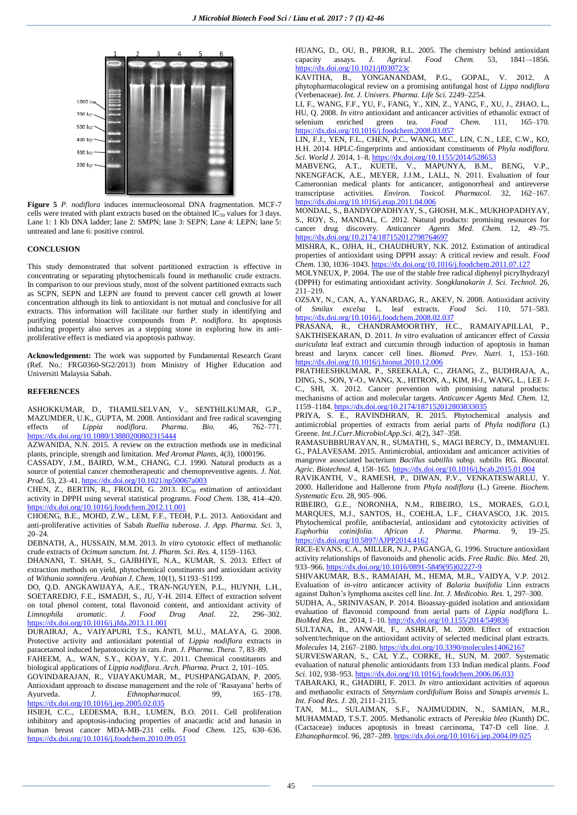

**Figure 5** *P. nodiflora* induces internucleosomal DNA fragmentation. MCF-7 cells were treated with plant extracts based on the obtained  $IC_{50}$  values for 3 days. Lane 1: 1 Kb DNA ladder; lane 2: SMPN; lane 3: SEPN; Lane 4: LEPN; lane 5: untreated and lane 6: positive control.

#### **CONCLUSION**

This study demonstrated that solvent partitioned extraction is effective in concentrating or separating phytochemicals found in methanolic crude extracts. In comparison to our previous study, most of the solvent partitioned extracts such as SCPN, SEPN and LEPN are found to prevent cancer cell growth at lower concentration although its link to antioxidant is not mutual and conclusive for all extracts. This information will facilitate our further study in identifying and purifying potential bioactive compounds from *P. nodiflora*. Its apoptosis inducing property also serves as a stepping stone in exploring how its antiproliferative effect is mediated via apoptosis pathway.

**Acknowledgement:** The work was supported by Fundamental Research Grant (Ref. No.: FRG0360-SG2/2013) from Ministry of Higher Education and Universiti Malaysia Sabah.

# **REFERENCES**

ASHOKKUMAR, D., THAMILSELVAN, V., SENTHILKUMAR, G.P., MAZUMDER, U.K., GUPTA, M. 2008. Antioxidant and free radical scavenging effects of *Lippia nodiflora*. *Pharma. Bio.* 46, 762–771. <https://dx.doi.org/10.1080/13880200802315444>

AZWANIDA, N.N. 2015. A review on the extraction methods use in medicinal plants, principle, strength and limitation. *Med Aromat Plants*, 4(3), 1000196.

CASSADY, J.M., BAIRD, W.M., CHANG, C.J. 1990. Natural products as a source of potential cancer chemotherapeutic and chemopreventive agents. *J. Nat. Prod.* 53, 23–41. <https://dx.doi.org/10.1021/np50067a003>

CHEN, Z., BERTIN, R., FROLDI, G. 2013.  $EC_{50}$  estimation of antioxidant activity in DPPH using several statistical programs. *Food Chem.* 138, 414–420. <https://dx.doi.org/10.1016/j.foodchem.2012.11.001>

CHOENG, B.E., MOHD, Z.W., LEM, F.F., TEOH, P.L. 2013. Antioxidant and anti-proliferative activities of Sabah *Ruellia tuberosa*. *J. App. Pharma. Sci.* 3, 20–24.

DEBNATH, A., HUSSAIN, M.M. 2013. *In vitro* cytotoxic effect of methanolic crude extracts of *Ocimum sanctum*. *Int. J. Pharm. Sci. Res.* 4, 1159–1163.

DHANANI, T. SHAH, S., GAJBHIYE, N.A., KUMAR, S. 2013. Effect of extraction methods on yield, phytochemical constituents and antioxidant activity of *Withania somnifera*. *Arabian J. Chem*, 10(1), S1193–S1199.

DO, Q.D. ANGKAWIJAYA, A.E., TRAN-NGUYEN, P.L., HUYNH, L.H., SOETAREDJO, F.E., ISMADJI, S., JU, Y-H. 2014. Effect of extraction solvent on total phenol content, total flavonoid content, and antioxidant activity of *Limnophila aromatic*. *J. Food Drug Anal.* 22, 296–302. <https://dx.doi.org/10.1016/j.jfda.2013.11.001>

DURAIRAJ, A., VAIYAPURI, T.S., KANTI, M.U., MALAYA, G. 2008. Protective activity and antioxidant potential of *Lippia nodiflora* extracts in paracetamol induced hepatotoxicity in rats. *Iran. J. Pharma. Thera.* 7, 83–89.

FAHEEM, A., WAN, S.Y., KOAY, Y.C. 2011. Chemical constituents and biological applications of *Lippia nodiflora*. *Arch. Pharma. Pract.* 2, 101–105.

GOVINDARAJAN, R., VIJAYAKUMAR, M., PUSHPANGADAN, P. 2005. Antioxidant approach to disease management and the role of 'Rasayana' herbs of Ayurveda. *J. Ethnopharmacol.* 99, 165–178. <https://dx.doi.org/10.1016/j.jep.2005.02.035>

HSIEH, C.C., LEDESMA, B.H., LUMEN, B.O. 2011. Cell proliferation inhibitory and apoptosis-inducing properties of anacardic acid and lunasin in human breast cancer MDA-MB-231 cells. *Food Chem.* 125, 630–636. <https://dx.doi.org/10.1016/j.foodchem.2010.09.051>

HUANG, D., OU, B., PRIOR, R.L. 2005. The chemistry behind antioxidant capacity assays. J. Agricul. Food Chem. 53, 1841-1856. capacity assays. *J. Agricul. Food Chem.* 53, 1841–-1856. <https://dx.doi.org/10.1021/jf030723c>

KAVITHA, B., YONGANANDAM, P.G., GOPAL, V. 2012. A phytopharmacological review on a promising antifungal host of *Lippa nodiflora* (Verbenaceae). *Int. J. Univers. Pharma. Life Sci.* 2249–2254.

LI, F., WANG, F.F., YU, F., FANG, Y., XIN, Z., YANG, F., XU, J., ZHAO, L., HU, Q. 2008. *In vitro* antioxidant and anticancer activities of ethanolic extract of selenium enriched green tea. *Food Chem.* 111, 165–170. <https://dx.doi.org/10.1016/j.foodchem.2008.03.057>

LIN, F.J., YEN, F.L., CHEN, P.C., WANG, M.C., LIN, C.N., LEE, C.W., KO, H.H. 2014. HPLC-fingerprints and antioxidant constituents of *Phyla nodiflora*. *Sci. World J.* 2014, 1–8. <https://dx.doi.org/10.1155/2014/528653>

MABVENG, A.T., KUETE, V., MAPUNYA, B.M., BENG, V.P., NKENGFACK, A.E., MEYER, J.J.M., LALL, N. 2011. Evaluation of four Cameroonian medical plants for anticancer, antigonorrheal and antireverse transcriptase activities. *Environ. Toxicol. Pharmacol.* 32, 162–167. <https://dx.doi.org/10.1016/j.etap.2011.04.006>

MONDAL, S., BANDYOPADHYAY, S., GHOSH, M.K., MUKHOPADHYAY, S., ROY, S., MANDAL, C. 2012. Natural products: promising resources for cancer drug discovery. *Anticancer Agents Med. Chem.* 12, 49–75. <https://dx.doi.org/10.2174/187152012798764697>

MISHRA, K., OJHA, H., CHAUDHURY, N.K. 2012. Estimation of antiradical properties of antioxidant using DPPH assay: A critical review and result. *Food Chem.* 130, 1036–1043. <https://dx.doi.org/10.1016/j.foodchem.2011.07.127>

MOLYNEUX, P. 2004. The use of the stable free radical diphenyl picrylhydrazyl (DPPH) for estimating antioxidant activity. *Songklanakarin J. Sci. Technol.* 26, 211–219.

OZSAY, N., CAN, A., YANARDAG, R., AKEV, N. 2008. Antioxidant activity of *Smilax excelsa* L. leaf extracts. *Food Sci.* 110, 571–583. <https://dx.doi.org/10.1016/j.foodchem.2008.02.037>

PRASANA, R., CHANDRAMOORTHY, H.C., RAMAIYAPILLAI, P., SAKTHISEKARAN, D. 2011. *In vitro* evaluation of anticancer effect of *Cassia auriculata* leaf extract and curcumin through induction of apoptosis in human breast and larynx cancer cell lines. *Biomed. Prev. Nutri.* 1, 153–160. <https://dx.doi.org/10.1016/j.bionut.2010.12.006>

PRATHEESHKUMAR, P., SREEKALA, C., ZHANG, Z., BUDHRAJA, A., DING, S., SON, Y-O., WANG, X., HITRON, A., KIM, H-J., WANG, L., LEE J-C., SHI, X. 2012. Cancer prevention with promising natural products: mechanisms of action and molecular targets. *Anticancer Agents Med. Chem.* 12, 1159–1184. <https://dx.doi.org/10.2174/187152012803833035>

PRIYA, S. E., RAVINDHRAN, R. 2015. Phytochemical analysis and antimicrobial properties of extracts from aerial parts of *Phyla nodiflora* (L) Greene. *Int.J.Curr.Microbiol.App.Sci*. 4(2), 347–358.

RAMASUBBRURAYAN, R., SUMATHI, S., MAGI BERCY, D., IMMANUEL G., PALAVESAM. 2015. Antimicrobial, antioxidant and anticancer activities of mangrove associated bacterium *Bacillus subtillis* subsp. subtilis RG. *Biocatal. Agric. Biotechnol.* 4, 158–165. <https://dx.doi.org/10.1016/j.bcab.2015.01.004>

RAVIKANTH, V., RAMESH, P., DIWAN, P.V., VENKATESWARLU, Y. 2000. Halleridone and Hallerone from *Phyla nodiflora* (L.) Greene. *Biochem. Systematic Eco.* 28, 905–906.

RIBEIRO, G.E., NORONHA, N.M., RIBEIRO, I.S., MORAES, G.O.I, MARQUES, M.J., SANTOS, H., COEHLA, L.F., CHAVASCO, J.K. 2015. Phytochemical profile, antibacterial, antioxidant and cytotoxicity activities of *Euphorbia cotinifolia*. *African J. Pharma. Pharma.* 9, 19–25. <https://dx.doi.org/10.5897/AJPP2014.4162>

RICE-EVANS, C.A., MILLER, N.J., PAGANGA, G. 1996. Structure antioxidant activity relationships of flavonoids and phenolic acids. *Free Radic. Bio. Med.* 20, 933–966. [https://dx.doi.org/10.1016/0891-5849\(95\)02227-9](https://dx.doi.org/10.1016/0891-5849(95)02227-9)

SHIVAKUMAR, B.S., RAMAIAH, M., HEMA, M.R., VAIDYA, V.P. 2012. Evaluation of *in-vitro* anticancer activity of *Balaria buxifolia* Linn extracts against Dalton's lymphoma ascites cell line. *Int. J. Medicobio. Res.* 1, 297–300.

SUDHA, A., SRINIVASAN, P. 2014. Bioassay-guided isolation and antioxidant evaluation of flavonoid compound from aerial parts of *Lippia nodiflora* L. *BioMed Res. Int.* 2014, 1–10. <http://dx.doi.org/10.1155/2014/549836>

SULTANA, B., ANWAR, F., ASHRAF, M. 2009. Effect of extraction solvent/technique on the antioxidant activity of selected medicinal plant extracts. *Molecules* 14, 2167–2180. <https://dx.doi.org/10.3390/molecules14062167>

SURVESWARAN, S., CAI, Y.Z., CORKE, H., SUN, M. 2007. Systematic evaluation of natural phenolic antioxidants from 133 Indian medical plants. *Food Sci.* 102, 938–953. <https://dx.doi.org/10.1016/j.foodchem.2006.06.033>

TABARAKI, R., GHADIRI, F. 2013. *In vitro* antioxidant activities of aqueous and methanolic extracts of *Smyrnium cordifolium* Boiss and *Sinapis arvensis* L. *Int. Food Res. J.* 20, 2111–2115.

TAN, M.L., SULAIMAN, S.F., NAJIMUDDIN, N., SAMIAN, M.R., MUHAMMAD, T.S.T. 2005. Methanolic extracts of *Pereskia bleo* (Kunth) DC. (Cactaceae) induces apoptosis in breast carcinoma, T47-D cell line. *J. Ethanopharmcol.* 96, 287–289. <https://dx.doi.org/10.1016/j.jep.2004.09.025>